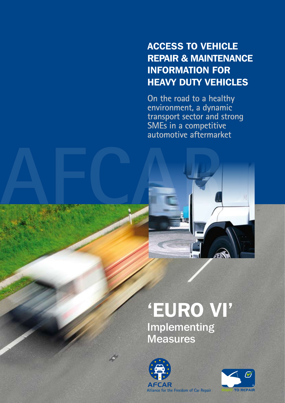## Access to vehicle repair & maintenance information for heavy duty vehicles

**On the road to a healthy environment, a dynamic transport sector and strong SMEs in a competitive automotive aftermarket**



# 'EURO VI'

Implementing **Measures** 



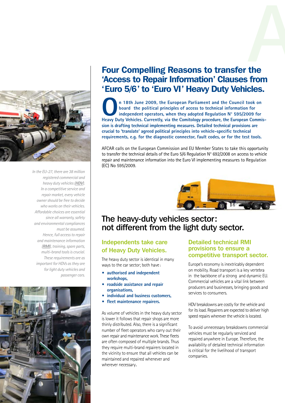

*In the EU-27, there are 38 million registered commercial and heavy duty vehicles (***HDV***). In a competitive service and repair market, every vehicle owner should be free to decide who works on their vehicles. Affordable choices are essential since all warranty, safety and environmental compliances must be assumed. Hence, full access to repair and maintenance information (***RMI***), training, spare parts, multi-brand tools is crucial. These requirements are as important for HDVs as they are for light duty vehicles and passenger cars.* 



## Four Compelling Reasons to transfer the 'Access to Repair Information' Clauses from 'Euro 5/6' to 'Euro VI' Heavy Duty Vehicles. **d**<br>the

**On 18th June 2009, the European Parliament and the Council took on board the political principles of access to technical information for independent operators, when they adopted Regulation N° 595/2009 for Heavy Duty Vehicles. Currently, via the Comitology procedure, the European Commission is drafting technical implementing measures. Detailed technical provisions are crucial to 'translate' agreed political principles into vehicle-specific technical requirements, e.g. for the diagnostic connector, fault codes, or for the test tools.**

AFCAR calls on the European Commission and EU Member States to take this opportunity to transfer the technical details of the Euro 5/6 Regulation N° 692/2008 on access to vehicle repair and maintenance information into the Euro VI implementing measures to Regulation (EC) No 595/2009.



## The heavy-duty vehicles sector: not different from the light duty sector.

## Independents take care of Heavy Duty Vehicles.

The heavy duty sector is identical in many ways to the car sector; both have :

- **authorised and independent workshops,**
- **roadside assistance and repair organisations,**
- **individual and business customers,**
- **fleet maintenance repairers.**

As volume of vehicles in the heavy duty sector is lower it follows that repair shops are more thinly distributed. Also, there is a significant number of fleet operators who carry out their own repair and maintenance work. These fleets are often composed of multiple brands. Thus they require multi-brand repairers located in the vicinity to ensure that all vehicles can be maintained and repaired whenever and wherever necessary.

## Detailed technical RMI provisions to ensure a competitive transport sector.

Europe's economy is inextricably dependent on mobility. Road transport is a key vertebra in the backbone of a strong and dynamic EU. Commercial vehicles are a vital link between producers and businesses, bringing goods and services to consumers.

HDV breakdowns are costly for the vehicle and for its load. Repairers are expected to deliver high speed repairs wherever the vehicle is located.

To avoid unnecessary breakdowns commercial vehicles must be regularly serviced and repaired anywhere in Europe. Therefore, the availability of detailed technical information is critical for the livelihood of transport companies.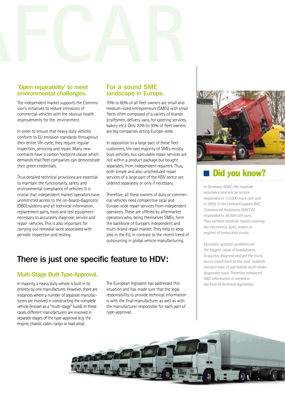

#### 'Open reparability' to meet environmental challenges.

The independent market supports the Commission's initiatives to reduce emissions of commercial vehicles with the obvious health improvements for the environment.

In order to ensure that heavy duty vehicles conform to EU emission standards throughout their entire life-cycle, they require regular inspection, servicing and repair. Many new contracts have a carbon footprint clause which demands that fleet companies can demonstrate their green credentials.

Thus detailed technical provisions are essential to maintain the functionality, safety and environmental compliance of vehicles. It is crucial that independent market operators have unrestricted access to the on-board-diagnostic (OBD) systems and all technical information, replacement parts, tools and test equipment necessary to accurately diagnose, service and repair vehicles. This is also important for carrying out remedial work associated with periodic inspection and testing.

## For a sound SME landscape in Europe.

70% to 80% of all fleet owners are small and medium-sized entrepreneurs (SMEs) with small fleets often composed of a variety of brands (craftsmen, delivery vans, for catering services, bakery etc.). Only 20% to 30% of fleet owners are big companies acting Europe-wide.

In opposition to a large part of these fleet customers, the vast majority of SMEs mostly buys vehicles, but calculable repair services are not within a product package but bought separately from independent repairers. Thus, both simple and also unscheduled repair services of a large part of the HDV sector are ordered separately or only if necessary.

Therefore, all these owners of duty or commercial vehicles need competitive local and Europe-wide repair services from independent operators. These are offered by aftermarket operators who, being themselves SMEs, form the backbone of Europe's independent and multi-brand repair market. They help to keep jobs in the EU, in contrast to the recent trend of outsourcing in global vehicle manufacturing.

## There is just one specific feature to HDV:

## Multi-Stage Built Type-Approval.

In majority, a heavy duty vehicle is built in its entirety by one manufacturer. However, there are instances where a number of separate manufacturers are involved in constructing the complete vehicle (known as a "multi-stage" build). In these cases, different manufacturers are involved in separate stages of the type-approval (e.g. the engine, chassis, cabin, cargo or load area).

The European legislator has addressed this situation and has made sure that the legal responsibility to provide technical information is with the final manufacturer as well as with the manufacturer responsible for each part of type-approval.



## Did you know?

*In Germany ADAC, the roadside assistance and rescue service responded to 110.000 truck call-outs in 2009. In the United Kingdom RAC Commercial Assistance (RACCA) responded to 36.000 call-outs. They perform roadside repairs covering the electronics, tyres, brakes or engines of heavy duty trucks.* 

*Electronic systems' problems are the biggest cause of breakdowns. To quickly diagnose and get the truck, bus or coach back to the road, roadside rescuers have to use mobile multi-make diagnostic tools. Therefore enhanced OBD information is needed in the Euro VI technical legislation.*